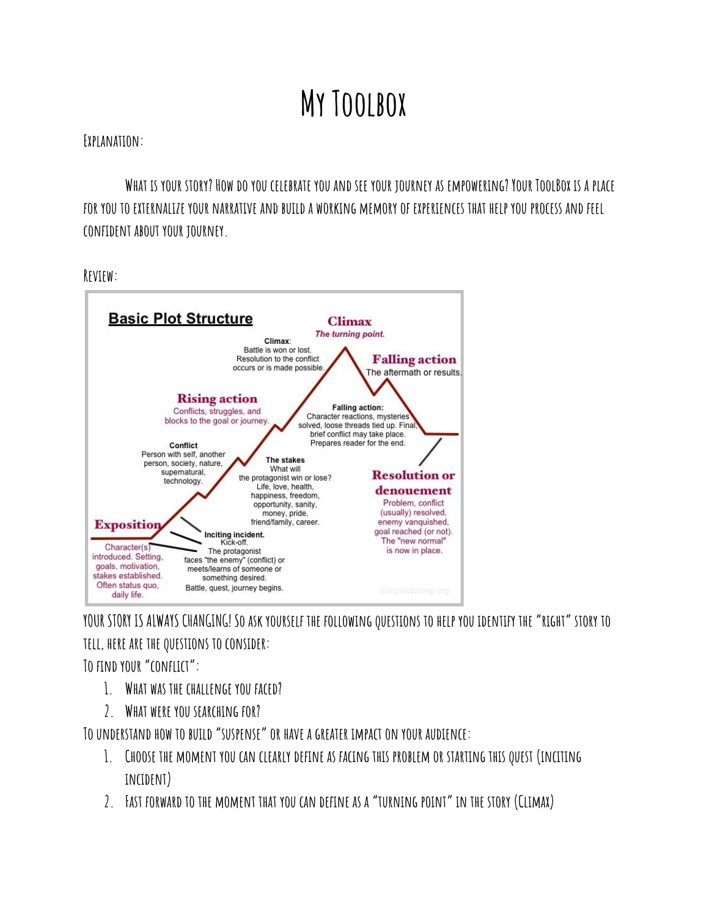## **My Toolbox**

## **Explanation:**

WHAT IS YOUR STORY? HOW DO YOU CELEBRATE YOU AND SEE YOUR TOURNEY AS EMPOWERING? YOUR TOOLBOX IS A PLACE FOR YOU TO EXTERNALIZE YOUR NARRATIVE AND BUILD A WORKING MEMORY OF EXPERIENCES THAT HELP YOU PROCESS AND FEEL **confident about your journey.**

**Review:**



YOUR STORY IS ALWAYS CHANGING! SO ASK YOURSELF THE FOLLOWING QUESTIONS TO HELP YOU IDENTIFY THE "RIGHT" STORY TO **tell, here are the questions to consider:**

**To find your"conflict":**

- **1. What was the challenge you faced?**
- **2. What were you searching for?**

**To understand how to build"suspense"or have a greater impact on your audience:**

- **1. Choose the moment you can clearly define as facing this problem or starting this quest (inciting incident)**
- **2. Fast forward to the moment that you can define as a"turning point"in the story (Climax)**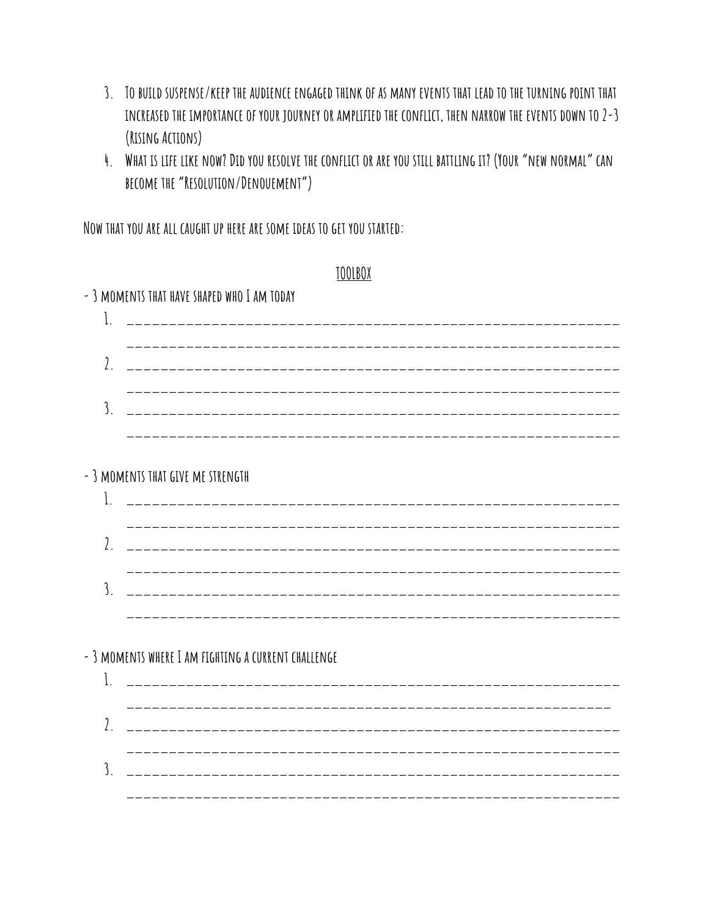- 3. TO BUILD SUSPENSE/KEEP THE AUDIENCE ENGAGED THINK OF AS MANY EVENTS THAT LEAD TO THE TURNING POINT THAT **increased the importance of your journey or amplified the conflict, then narrow the events down to 2-3 (Rising Actions)**
- 4. WHAT IS LIFE LIKE NOW? DID YOU RESOLVE THE CONFLICT OR ARE YOU STILL BATTLING IT? (YOUR "NEW NORMAL" CAN **become the"Resolution/Denouement")**

**Now that you are all caught up here are some ideas to get you started:**

|                             | TOOLBOX                                             |
|-----------------------------|-----------------------------------------------------|
|                             | - 3 MOMENTS THAT HAVE SHAPED WHO I AM TODAY         |
| 1.                          |                                                     |
| $\iota$ .                   |                                                     |
|                             |                                                     |
| $\overline{\mathcal{E}}$    |                                                     |
|                             |                                                     |
|                             | - 3 MOMENTS THAT GIVE ME STRENGTH                   |
| 1.                          |                                                     |
|                             |                                                     |
| $\iota$ .                   |                                                     |
|                             |                                                     |
| $\overline{\mathcal{E}}$    |                                                     |
|                             |                                                     |
|                             | - 3 MOMENTS WHERE I AM FIGHTING A CURRENT CHALLENGE |
| 1.                          |                                                     |
|                             |                                                     |
| $\iota$ .                   |                                                     |
|                             |                                                     |
| $\overline{\mathfrak{z}}$ . | _____________________________                       |

**\_\_\_\_\_\_\_\_\_\_\_\_\_\_\_\_\_\_\_\_\_\_\_\_\_\_\_\_\_\_\_\_\_\_\_\_\_\_\_\_\_\_\_\_\_\_\_\_\_\_\_\_\_\_\_\_\_\_**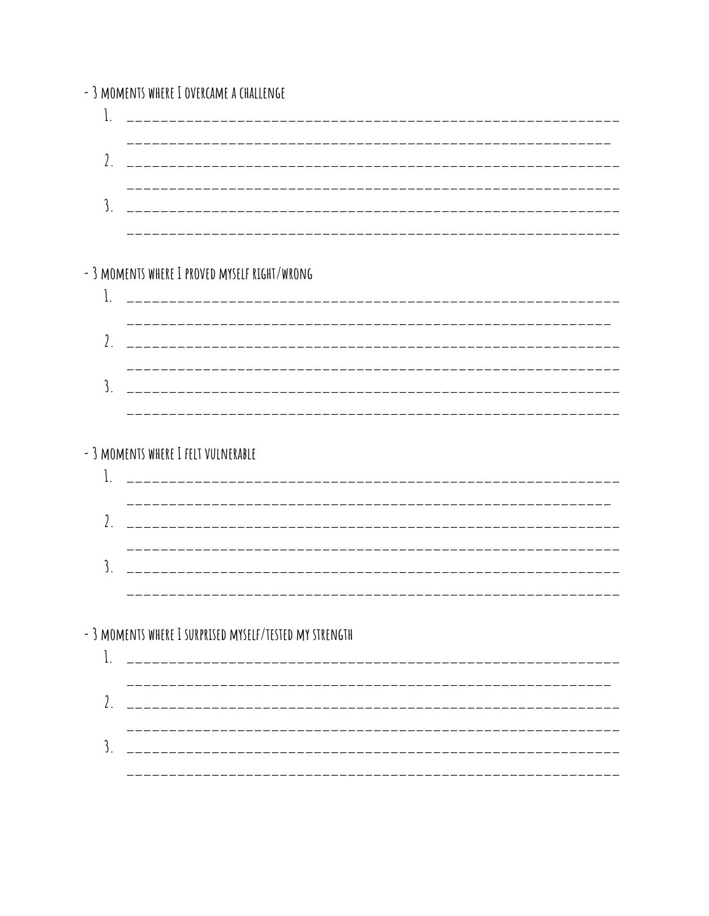- 3 MOMENTS WHERE I OVERCAME A CHALLENGE - 3 MOMENTS WHERE I PROVED MYSELF RIGHT/WRONG - 3 MOMENTS WHERE I FELT VULNERABLE - 3 MOMENTS WHERE I SURPRISED MYSELF/TESTED MY STRENGTH